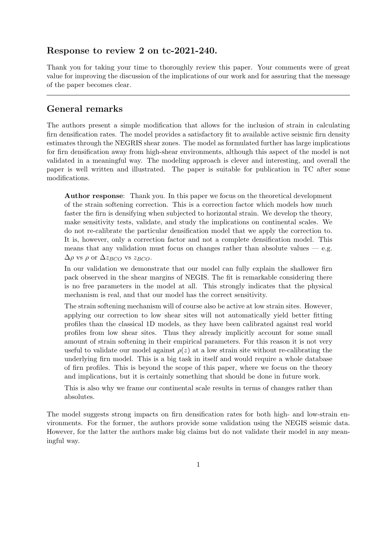## Response to review 2 on tc-2021-240.

Thank you for taking your time to thoroughly review this paper. Your comments were of great value for improving the discussion of the implications of our work and for assuring that the message of the paper becomes clear.

# General remarks

The authors present a simple modification that allows for the inclusion of strain in calculating firn densification rates. The model provides a satisfactory fit to available active seismic firn density estimates through the NEGRIS shear zones. The model as formulated further has large implications for firn densification away from high-shear environments, although this aspect of the model is not validated in a meaningful way. The modeling approach is clever and interesting, and overall the paper is well written and illustrated. The paper is suitable for publication in TC after some modifications.

Author response: Thank you. In this paper we focus on the theoretical development of the strain softening correction. This is a correction factor which models how much faster the firn is densifying when subjected to horizontal strain. We develop the theory, make sensitivity tests, validate, and study the implications on continental scales. We do not re-calibrate the particular densification model that we apply the correction to. It is, however, only a correction factor and not a complete densification model. This means that any validation must focus on changes rather than absolute values  $-$  e.g.  $\Delta \rho$  vs  $\rho$  or  $\Delta z_{BCO}$  vs  $z_{BCO}$ .

In our validation we demonstrate that our model can fully explain the shallower firn pack observed in the shear margins of NEGIS. The fit is remarkable considering there is no free parameters in the model at all. This strongly indicates that the physical mechanism is real, and that our model has the correct sensitivity.

The strain softening mechanism will of course also be active at low strain sites. However, applying our correction to low shear sites will not automatically yield better fitting profiles than the classical 1D models, as they have been calibrated against real world profiles from low shear sites. Thus they already implicitly account for some small amount of strain softening in their empirical parameters. For this reason it is not very useful to validate our model against  $\rho(z)$  at a low strain site without re-calibrating the underlying firn model. This is a big task in itself and would require a whole database of firn profiles. This is beyond the scope of this paper, where we focus on the theory and implications, but it is certainly something that should be done in future work.

This is also why we frame our continental scale results in terms of changes rather than absolutes.

The model suggests strong impacts on firn densification rates for both high- and low-strain environments. For the former, the authors provide some validation using the NEGIS seismic data. However, for the latter the authors make big claims but do not validate their model in any meaningful way.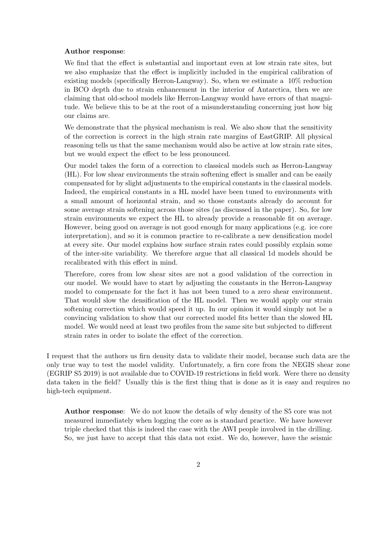#### Author response:

We find that the effect is substantial and important even at low strain rate sites, but we also emphasize that the effect is implicitly included in the empirical calibration of existing models (specifically Herron-Langway). So, when we estimate a 10% reduction in BCO depth due to strain enhancement in the interior of Antarctica, then we are claiming that old-school models like Herron-Langway would have errors of that magnitude. We believe this to be at the root of a misunderstanding concerning just how big our claims are.

We demonstrate that the physical mechanism is real. We also show that the sensitivity of the correction is correct in the high strain rate margins of EastGRIP. All physical reasoning tells us that the same mechanism would also be active at low strain rate sites, but we would expect the effect to be less pronounced.

Our model takes the form of a correction to classical models such as Herron-Langway (HL). For low shear environments the strain softening effect is smaller and can be easily compensated for by slight adjustments to the empirical constants in the classical models. Indeed, the empirical constants in a HL model have been tuned to environments with a small amount of horizontal strain, and so those constants already do account for some average strain softening across those sites (as discussed in the paper). So, for low strain environments we expect the HL to already provide a reasonable fit on average. However, being good on average is not good enough for many applications (e.g. ice core interpretation), and so it is common practice to re-calibrate a new densification model at every site. Our model explains how surface strain rates could possibly explain some of the inter-site variability. We therefore argue that all classical 1d models should be recalibrated with this effect in mind.

Therefore, cores from low shear sites are not a good validation of the correction in our model. We would have to start by adjusting the constants in the Herron-Langway model to compensate for the fact it has not been tuned to a zero shear environment. That would slow the densification of the HL model. Then we would apply our strain softening correction which would speed it up. In our opinion it would simply not be a convincing validation to show that our corrected model fits better than the slowed HL model. We would need at least two profiles from the same site but subjected to different strain rates in order to isolate the effect of the correction.

I request that the authors us firn density data to validate their model, because such data are the only true way to test the model validity. Unfortunately, a firn core from the NEGIS shear zone (EGRIP S5 2019) is not available due to COVID-19 restrictions in field work. Were there no density data taken in the field? Usually this is the first thing that is done as it is easy and requires no high-tech equipment.

Author response: We do not know the details of why density of the S5 core was not measured immediately when logging the core as is standard practice. We have however triple checked that this is indeed the case with the AWI people involved in the drilling. So, we just have to accept that this data not exist. We do, however, have the seismic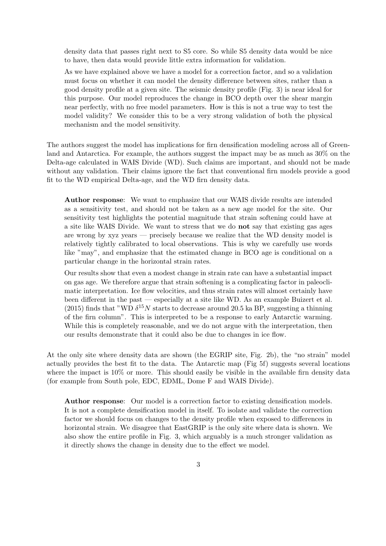density data that passes right next to S5 core. So while S5 density data would be nice to have, then data would provide little extra information for validation.

As we have explained above we have a model for a correction factor, and so a validation must focus on whether it can model the density difference between sites, rather than a good density profile at a given site. The seismic density profile (Fig. 3) is near ideal for this purpose. Our model reproduces the change in BCO depth over the shear margin near perfectly, with no free model parameters. How is this is not a true way to test the model validity? We consider this to be a very strong validation of both the physical mechanism and the model sensitivity.

The authors suggest the model has implications for firn densification modeling across all of Greenland and Antarctica. For example, the authors suggest the impact may be as much as 30% on the Delta-age calculated in WAIS Divide (WD). Such claims are important, and should not be made without any validation. Their claims ignore the fact that conventional firn models provide a good fit to the WD empirical Delta-age, and the WD firn density data.

Author response: We want to emphasize that our WAIS divide results are intended as a sensitivity test, and should not be taken as a new age model for the site. Our sensitivity test highlights the potential magnitude that strain softening could have at a site like WAIS Divide. We want to stress that we do not say that existing gas ages are wrong by xyz years — precisely because we realize that the WD density model is relatively tightly calibrated to local observations. This is why we carefully use words like "may", and emphasize that the estimated change in BCO age is conditional on a particular change in the horizontal strain rates.

Our results show that even a modest change in strain rate can have a substantial impact on gas age. We therefore argue that strain softening is a complicating factor in paleoclimatic interpretation. Ice flow velocities, and thus strain rates will almost certainly have been different in the past — especially at a site like WD. As an example Buizert et al. (2015) finds that "WD  $\delta^{15}N$  starts to decrease around 20.5 ka BP, suggesting a thinning of the firn column". This is interpreted to be a response to early Antarctic warming. While this is completely reasonable, and we do not argue with the interpretation, then our results demonstrate that it could also be due to changes in ice flow.

At the only site where density data are shown (the EGRIP site, Fig. 2b), the "no strain" model actually provides the best fit to the data. The Antarctic map (Fig 5f) suggests several locations where the impact is  $10\%$  or more. This should easily be visible in the available firn density data (for example from South pole, EDC, EDML, Dome F and WAIS Divide).

Author response: Our model is a correction factor to existing densification models. It is not a complete densification model in itself. To isolate and validate the correction factor we should focus on changes to the density profile when exposed to differences in horizontal strain. We disagree that EastGRIP is the only site where data is shown. We also show the entire profile in Fig. 3, which arguably is a much stronger validation as it directly shows the change in density due to the effect we model.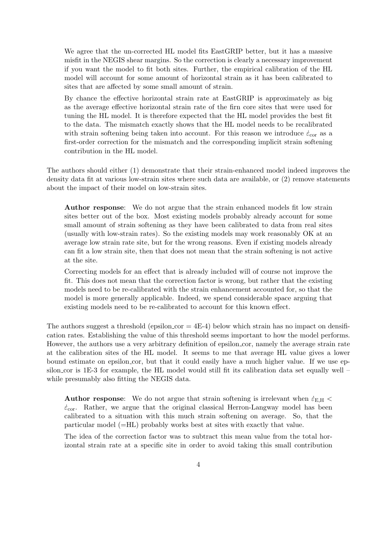We agree that the un-corrected HL model fits EastGRIP better, but it has a massive misfit in the NEGIS shear margins. So the correction is clearly a necessary improvement if you want the model to fit both sites. Further, the empirical calibration of the HL model will account for some amount of horizontal strain as it has been calibrated to sites that are affected by some small amount of strain.

By chance the effective horizontal strain rate at EastGRIP is approximately as big as the average effective horizontal strain rate of the firn core sites that were used for tuning the HL model. It is therefore expected that the HL model provides the best fit to the data. The mismatch exactly shows that the HL model needs to be recalibrated with strain softening being taken into account. For this reason we introduce  $\dot{\varepsilon}_{cor}$  as a first-order correction for the mismatch and the corresponding implicit strain softening contribution in the HL model.

The authors should either (1) demonstrate that their strain-enhanced model indeed improves the density data fit at various low-strain sites where such data are available, or (2) remove statements about the impact of their model on low-strain sites.

Author response: We do not argue that the strain enhanced models fit low strain sites better out of the box. Most existing models probably already account for some small amount of strain softening as they have been calibrated to data from real sites (usually with low-strain rates). So the existing models may work reasonably OK at an average low strain rate site, but for the wrong reasons. Even if existing models already can fit a low strain site, then that does not mean that the strain softening is not active at the site.

Correcting models for an effect that is already included will of course not improve the fit. This does not mean that the correction factor is wrong, but rather that the existing models need to be re-calibrated with the strain enhancement accounted for, so that the model is more generally applicable. Indeed, we spend considerable space arguing that existing models need to be re-calibrated to account for this known effect.

The authors suggest a threshold (epsilon cor  $=$  4E-4) below which strain has no impact on densification rates. Establishing the value of this threshold seems important to how the model performs. However, the authors use a very arbitrary definition of epsilon cor, namely the average strain rate at the calibration sites of the HL model. It seems to me that average HL value gives a lower bound estimate on epsilon cor, but that it could easily have a much higher value. If we use epsilon cor is 1E-3 for example, the HL model would still fit its calibration data set equally well – while presumably also fitting the NEGIS data.

**Author response:** We do not argue that strain softening is irrelevant when  $\dot{\varepsilon}_{E,H}$  $\dot{\varepsilon}_{\rm cor}$ . Rather, we argue that the original classical Herron-Langway model has been calibrated to a situation with this much strain softening on average. So, that the particular model (=HL) probably works best at sites with exactly that value.

The idea of the correction factor was to subtract this mean value from the total horizontal strain rate at a specific site in order to avoid taking this small contribution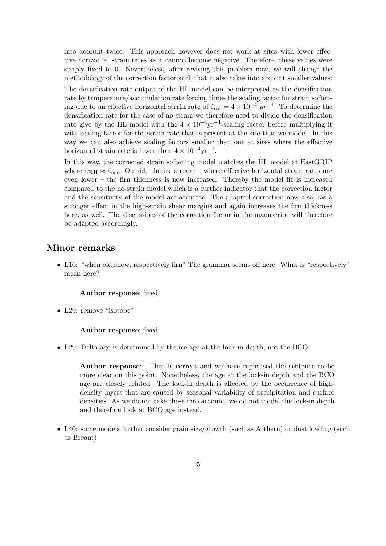into account twice. This approach however does not work at sites with lower effective horizontal strain rates as it cannot become negative. Therefore, these values were simply fixed to 0. Nevertheless, after revising this problem now, we will change the methodology of the correction factor such that it also takes into account smaller values:

The densification rate output of the HL model can be interpreted as the densification rate by temperature/accumulation rate forcing times the scaling factor for strain softening due to an effective horizontal strain rate of  $\dot{\varepsilon}_{cor} = 4 \times 10^{-4} \ yr^{-1}$ . To determine the densification rate for the case of no strain we therefore need to divide the densification rate give by the HL model with the  $4 \times 10^{-4} \text{yr}^{-1}$ -scaling factor before multiplying it with scaling factor for the strain rate that is present at the site that we model. In this way we can also achieve scaling factors smaller than one at sites where the effective horizontal strain rate is lower than  $4 \times 10^{-4} \text{yr}^{-1}$ .

In this way, the corrected strain softening model matches the HL model at EastGRIP where  $\dot{\varepsilon}_{\text{EH}} \approx \dot{\varepsilon}_{\text{cor}}$ . Outside the ice stream – where effective horizontal strain rates are even lower – the firn thickness is now increased. Thereby the model fit is increased compared to the no-strain model which is a further indicator that the correction factor and the sensitivity of the model are accurate. The adapted correction now also has a stronger effect in the high-strain shear margins and again increases the firn thickness here, as well. The discussions of the correction factor in the manuscript will therefore be adapted accordingly.

# Minor remarks

• L16: "when old snow, respectively firn" The grammar seems off here. What is "respectively" mean here?

#### Author response: fixed.

• L29: remove "isotope"

#### Author response: fixed.

• L29: Delta-age is determined by the ice age at the lock-in depth, not the BCO

Author response: That is correct and we have rephrased the sentence to be more clear on this point. Nonetheless, the age at the lock-in depth and the BCO age are closely related. The lock-in depth is affected by the occurrence of highdensity layers that are caused by seasonal variability of precipitation and surface densities. As we do not take these into account, we do not model the lock-in depth and therefore look at BCO age instead.

• L40: some models further consider grain size/growth (such as Arthern) or dust loading (such as Breant)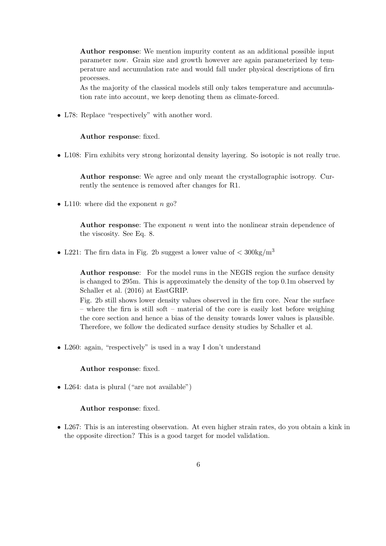Author response: We mention impurity content as an additional possible input parameter now. Grain size and growth however are again parameterized by temperature and accumulation rate and would fall under physical descriptions of firn processes.

As the majority of the classical models still only takes temperature and accumulation rate into account, we keep denoting them as climate-forced.

• L78: Replace "respectively" with another word.

### Author response: fixed.

• L108: Firn exhibits very strong horizontal density layering. So isotopic is not really true.

Author response: We agree and only meant the crystallographic isotropy. Currently the sentence is removed after changes for R1.

• L110: where did the exponent  $n$  go?

Author response: The exponent  $n$  went into the nonlinear strain dependence of the viscosity. See Eq. 8.

• L221: The firm data in Fig. 2b suggest a lower value of  $\langle 300 \text{kg/m}^3 \rangle$ 

Author response: For the model runs in the NEGIS region the surface density is changed to 295m. This is approximately the density of the top 0.1m observed by Schaller et al. (2016) at EastGRIP.

Fig. 2b still shows lower density values observed in the firn core. Near the surface – where the firn is still soft – material of the core is easily lost before weighing the core section and hence a bias of the density towards lower values is plausible. Therefore, we follow the dedicated surface density studies by Schaller et al.

• L260: again, "respectively" is used in a way I don't understand

### Author response: fixed.

• L264: data is plural ("are not available")

## Author response: fixed.

• L267: This is an interesting observation. At even higher strain rates, do you obtain a kink in the opposite direction? This is a good target for model validation.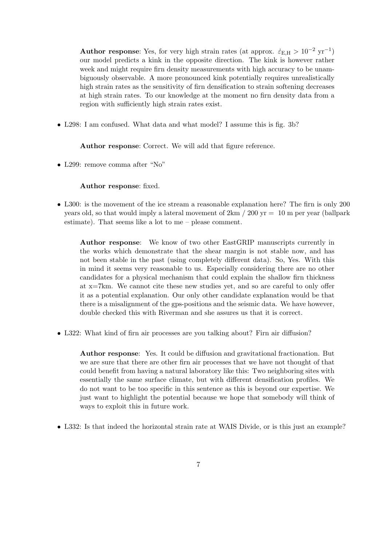Author response: Yes, for very high strain rates (at approx.  $\dot{\varepsilon}_{E,H} > 10^{-2}$  yr<sup>-1</sup>) our model predicts a kink in the opposite direction. The kink is however rather week and might require firn density measurements with high accuracy to be unambiguously observable. A more pronounced kink potentially requires unrealistically high strain rates as the sensitivity of firn densification to strain softening decreases at high strain rates. To our knowledge at the moment no firn density data from a region with sufficiently high strain rates exist.

• L298: I am confused. What data and what model? I assume this is fig. 3b?

Author response: Correct. We will add that figure reference.

• L299: remove comma after "No"

Author response: fixed.

• L300: is the movement of the ice stream a reasonable explanation here? The firn is only 200 years old, so that would imply a lateral movement of  $2km / 200 \text{ yr} = 10 \text{ m}$  per year (ballpark estimate). That seems like a lot to me – please comment.

Author response: We know of two other EastGRIP manuscripts currently in the works which demonstrate that the shear margin is not stable now, and has not been stable in the past (using completely different data). So, Yes. With this in mind it seems very reasonable to us. Especially considering there are no other candidates for a physical mechanism that could explain the shallow firn thickness at x=7km. We cannot cite these new studies yet, and so are careful to only offer it as a potential explanation. Our only other candidate explanation would be that there is a misalignment of the gps-positions and the seismic data. We have however, double checked this with Riverman and she assures us that it is correct.

• L322: What kind of firn air processes are you talking about? Firn air diffusion?

Author response: Yes. It could be diffusion and gravitational fractionation. But we are sure that there are other firn air processes that we have not thought of that could benefit from having a natural laboratory like this: Two neighboring sites with essentially the same surface climate, but with different densification profiles. We do not want to be too specific in this sentence as this is beyond our expertise. We just want to highlight the potential because we hope that somebody will think of ways to exploit this in future work.

• L332: Is that indeed the horizontal strain rate at WAIS Divide, or is this just an example?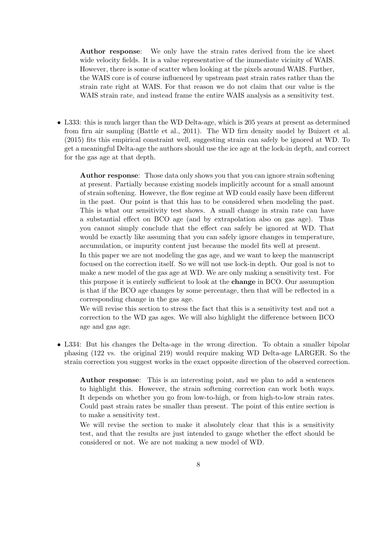Author response: We only have the strain rates derived from the ice sheet wide velocity fields. It is a value representative of the immediate vicinity of WAIS. However, there is some of scatter when looking at the pixels around WAIS. Further, the WAIS core is of course influenced by upstream past strain rates rather than the strain rate right at WAIS. For that reason we do not claim that our value is the WAIS strain rate, and instead frame the entire WAIS analysis as a sensitivity test.

• L333: this is much larger than the WD Delta-age, which is 205 years at present as determined from firn air sampling (Battle et al., 2011). The WD firn density model by Buizert et al. (2015) fits this empirical constraint well, suggesting strain can safely be ignored at WD. To get a meaningful Delta-age the authors should use the ice age at the lock-in depth, and correct for the gas age at that depth.

Author response: Those data only shows you that you can ignore strain softening at present. Partially because existing models implicitly account for a small amount of strain softening. However, the flow regime at WD could easily have been different in the past. Our point is that this has to be considered when modeling the past. This is what our sensitivity test shows. A small change in strain rate can have a substantial effect on BCO age (and by extrapolation also on gas age). Thus you cannot simply conclude that the effect can safely be ignored at WD. That would be exactly like assuming that you can safely ignore changes in temperature, accumulation, or impurity content just because the model fits well at present.

In this paper we are not modeling the gas age, and we want to keep the manuscript focused on the correction itself. So we will not use lock-in depth. Our goal is not to make a new model of the gas age at WD. We are only making a sensitivity test. For this purpose it is entirely sufficient to look at the change in BCO. Our assumption is that if the BCO age changes by some percentage, then that will be reflected in a corresponding change in the gas age.

We will revise this section to stress the fact that this is a sensitivity test and not a correction to the WD gas ages. We will also highlight the difference between BCO age and gas age.

• L334: But his changes the Delta-age in the wrong direction. To obtain a smaller bipolar phasing (122 vs. the original 219) would require making WD Delta-age LARGER. So the strain correction you suggest works in the exact opposite direction of the observed correction.

Author response: This is an interesting point, and we plan to add a sentences to highlight this. However, the strain softening correction can work both ways. It depends on whether you go from low-to-high, or from high-to-low strain rates. Could past strain rates be smaller than present. The point of this entire section is to make a sensitivity test.

We will revise the section to make it absolutely clear that this is a sensitivity test, and that the results are just intended to gauge whether the effect should be considered or not. We are not making a new model of WD.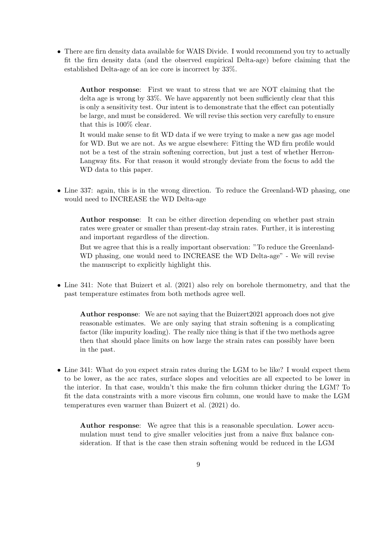• There are firn density data available for WAIS Divide. I would recommend you try to actually fit the firn density data (and the observed empirical Delta-age) before claiming that the established Delta-age of an ice core is incorrect by 33%.

Author response: First we want to stress that we are NOT claiming that the delta age is wrong by 33%. We have apparently not been sufficiently clear that this is only a sensitivity test. Our intent is to demonstrate that the effect can potentially be large, and must be considered. We will revise this section very carefully to ensure that this is 100% clear.

It would make sense to fit WD data if we were trying to make a new gas age model for WD. But we are not. As we argue elsewhere: Fitting the WD firn profile would not be a test of the strain softening correction, but just a test of whether Herron-Langway fits. For that reason it would strongly deviate from the focus to add the WD data to this paper.

• Line 337: again, this is in the wrong direction. To reduce the Greenland-WD phasing, one would need to INCREASE the WD Delta-age

Author response: It can be either direction depending on whether past strain rates were greater or smaller than present-day strain rates. Further, it is interesting and important regardless of the direction.

But we agree that this is a really important observation: "To reduce the Greenland-WD phasing, one would need to INCREASE the WD Delta-age" - We will revise the manuscript to explicitly highlight this.

• Line 341: Note that Buizert et al. (2021) also rely on borehole thermometry, and that the past temperature estimates from both methods agree well.

Author response: We are not saying that the Buizert2021 approach does not give reasonable estimates. We are only saying that strain softening is a complicating factor (like impurity loading). The really nice thing is that if the two methods agree then that should place limits on how large the strain rates can possibly have been in the past.

• Line 341: What do you expect strain rates during the LGM to be like? I would expect them to be lower, as the acc rates, surface slopes and velocities are all expected to be lower in the interior. In that case, wouldn't this make the firn column thicker during the LGM? To fit the data constraints with a more viscous firn column, one would have to make the LGM temperatures even warmer than Buizert et al. (2021) do.

Author response: We agree that this is a reasonable speculation. Lower accumulation must tend to give smaller velocities just from a naive flux balance consideration. If that is the case then strain softening would be reduced in the LGM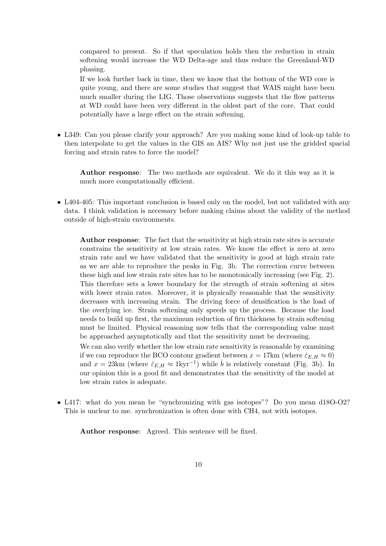compared to present. So if that speculation holds then the reduction in strain softening would increase the WD Delta-age and thus reduce the Greenland-WD phasing.

If we look further back in time, then we know that the bottom of the WD core is quite young, and there are some studies that suggest that WAIS might have been much smaller during the LIG. Those observations suggests that the flow patterns at WD could have been very different in the oldest part of the core. That could potentially have a large effect on the strain softening.

• L349: Can you please clarify your approach? Are you making some kind of look-up table to then interpolate to get the values in the GIS an AIS? Why not just use the gridded spacial forcing and strain rates to force the model?

Author response: The two methods are equivalent. We do it this way as it is much more computationally efficient.

• L404-405: This important conclusion is based only on the model, but not validated with any data. I think validation is necessary before making claims about the validity of the method outside of high-strain environments.

Author response: The fact that the sensitivity at high strain rate sites is accurate constrains the sensitivity at low strain rates. We know the effect is zero at zero strain rate and we have validated that the sensitivity is good at high strain rate as we are able to reproduce the peaks in Fig. 3b. The correction curve between these high and low strain rate sites has to be monotonically increasing (see Fig. 2). This therefore sets a lower boundary for the strength of strain softening at sites with lower strain rates. Moreover, it is physically reasonable that the sensitivity decreases with increasing strain. The driving force of densification is the load of the overlying ice. Strain softening only speeds up the process. Because the load needs to build up first, the maximum reduction of firn thickness by strain softening must be limited. Physical reasoning now tells that the corresponding value must be approached asymptotically and that the sensitivity must be decreasing.

We can also verify whether the low strain rate sensitivity is reasonable by examining if we can reproduce the BCO contour gradient between  $x = 17 \text{km}$  (where  $\dot{\varepsilon}_{E,H} \approx 0$ ) and  $x = 23 \text{km}$  (where  $\dot{\varepsilon}_{E,H} \approx 1 \text{kyr}^{-1}$ ) while  $\dot{b}$  is relatively constant (Fig. 3b). In our opinion this is a good fit and demonstrates that the sensitivity of the model at low strain rates is adequate.

• L417: what do you mean be "synchronizing with gas isotopes"? Do you mean d18O-O2? This is unclear to me. synchronization is often done with CH4, not with isotopes.

Author response: Agreed. This sentence will be fixed.